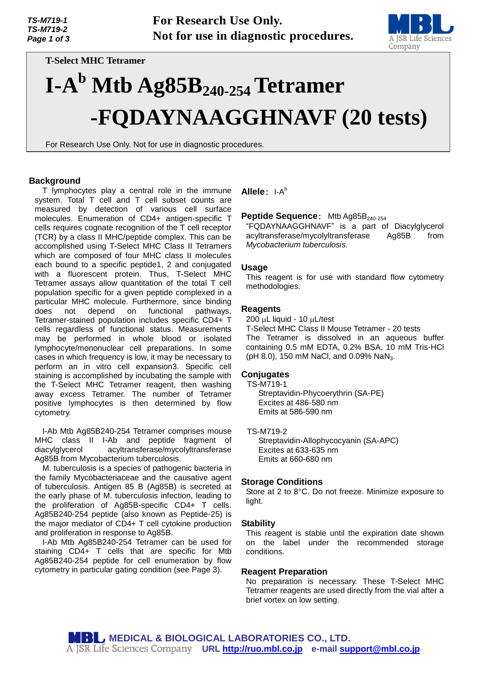

*M 7 1* **T-Select MHC Tetramer** 

## *9 - 2* **I-A <sup>b</sup> Mtb Ag85B240-254Tetramer**  *P a g* **-FQDAYNAAGGHNAVF (20 tests)**

*e* For Research Use Only. Not for use in diagnostic procedures.

#### **Background**

*f* T lymphocytes play a central role in the immune *3* measured by detection of various cell surface *P* cells requires cognate recognition of the T cell receptor *a* (TCR) by a class II MHC/peptide complex. This can be *g* accomplished using T-Select MHC Class II Tetramers *e* which are composed of four MHC class II molecules *1* with a fluorescent protein. Thus, T-Select MHC *o* population specific for a given peptide complexed in a *f* particular MHC molecule. Furthermore, since binding *4* Tetramer-stained population includes specific CD4+ T system. Total T cell and T cell subset counts are molecules. Enumeration of CD4+ antigen-specific T each bound to a specific peptide1, 2 and conjugated Tetramer assays allow quantitation of the total T cell does not depend on functional pathways, cells regardless of functional status. Measurements may be performed in whole blood or isolated lymphocyte/mononuclear cell preparations. In some cases in which frequency is low, it may be necessary to perform an in vitro cell expansion3. Specific cell staining is accomplished by incubating the sample with the T-Select MHC Tetramer reagent, then washing away excess Tetramer. The number of Tetramer positive lymphocytes is then determined by flow cytometry.

I-Ab Mtb Ag85B240-254 Tetramer comprises mouse MHC class II I-Ab and peptide fragment of diacylglycerol acyltransferase/mycolyltransferase Ag85B from Mycobacterium tuberculosis.

M. tuberculosis is a species of pathogenic bacteria in the family Mycobacteriaceae and the causative agent of tuberculosis. Antigen 85 B (Ag85B) is secreted at the early phase of M. tuberculosis infection, leading to the proliferation of Ag85B-specific CD4+ T cells. Ag85B240-254 peptide (also known as Peptide-25) is the major mediator of CD4+ T cell cytokine production and proliferation in response to Ag85B.

I-Ab Mtb Ag85B240-254 Tetramer can be used for staining CD4+ T cells that are specific for Mtb Ag85B240-254 peptide for cell enumeration by flow cytometry in particular gating condition (see Page 3).

**Allele**: I-A b

#### **Peptide Sequence:** Mtb Ag85B<sub>240-254</sub>

"FQDAYNAAGGHNAVF" is a part of Diacylglycerol acyltransferase/mycolyltransferase Ag85B from *Mycobacterium tuberculosis.*

#### **Usage**

This reagent is for use with standard flow cytometry methodologies.

#### **Reagents**

200  $\mu$ L liquid - 10  $\mu$ L/test

T-Select MHC Class II Mouse Tetramer - 20 tests The Tetramer is dissolved in an aqueous buffer containing 0.5 mM EDTA, 0.2% BSA, 10 mM Tris-HCl (pH 8.0), 150 mM NaCl, and 0.09% NaN<sub>3</sub>.

#### **Conjugates**

TS-M719-1

Streptavidin-Phycoerythrin (SA-PE) Excites at 486-580 nm Emits at 586-590 nm

#### TS-M719-2

Streptavidin-Allophycocyanin (SA-APC) Excites at 633-635 nm Emits at 660-680 nm

#### **Storage Conditions**

Store at 2 to 8°C. Do not freeze. Minimize exposure to light.

#### **Stability**

This reagent is stable until the expiration date shown on the label under the recommended storage conditions.

#### **Reagent Preparation**

No preparation is necessary. These T-Select MHC Tetramer reagents are used directly from the vial after a brief vortex on low setting.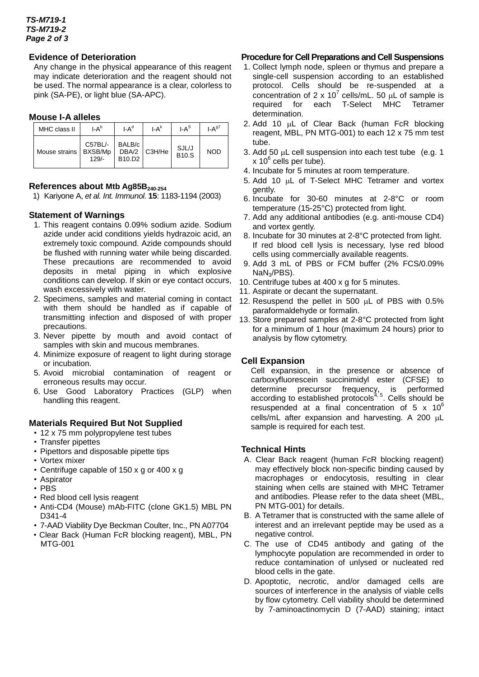#### *TS-M719-1 TS-M719-2 Page 2 of 3*

## **Evidence of Deterioration**

*a* Any change in the physical appearance of this reagent may indicate deterioration and the reagent should not be used. The normal appearance is a clear, colorless to pink (SA-PE), or light blue (SA-APC).

# **Mouse I-A alleles**

| MHC class II  | $I-A^b$                       | LA <sup>d</sup>                                    | $I - A^k$ | $I-A^S$               | $I-A97$    |
|---------------|-------------------------------|----------------------------------------------------|-----------|-----------------------|------------|
| Mouse strains | C57BL/-<br>BXSB/Mp<br>$129/-$ | BALB/c<br>DBA/2<br>B <sub>10</sub> .D <sub>2</sub> | C3H/He    | SJL/J<br><b>B10.S</b> | <b>NOD</b> |

## **References about Mtb Ag85B240-254**

1) Kariyone A, *et al. Int. Immunol.* **15**: 1183-1194 (2003)

## **Statement of Warnings**

- 1. This reagent contains 0.09% sodium azide. Sodium azide under acid conditions yields hydrazoic acid, an extremely toxic compound. Azide compounds should be flushed with running water while being discarded. These precautions are recommended to avoid deposits in metal piping in which explosive conditions can develop. If skin or eye contact occurs, wash excessively with water.
- 2. Specimens, samples and material coming in contact with them should be handled as if capable of transmitting infection and disposed of with proper precautions.
- 3. Never pipette by mouth and avoid contact of samples with skin and mucous membranes.
- 4. Minimize exposure of reagent to light during storage or incubation.
- 5. Avoid microbial contamination of reagent or erroneous results may occur.
- 6. Use Good Laboratory Practices (GLP) when handling this reagent.

#### **Materials Required But Not Supplied**

- 12 x 75 mm polypropylene test tubes
- Transfer pipettes
- Pipettors and disposable pipette tips
- Vortex mixer
- Centrifuge capable of 150 x g or 400 x g
- Aspirator
- PBS
- Red blood cell lysis reagent
- Anti-CD4 (Mouse) mAb-FITC (clone GK1.5) MBL PN D341-4
- 7-AAD Viability Dye Beckman Coulter, Inc., PN A07704
- Clear Back (Human FcR blocking reagent), MBL, PN MTG-001

#### **Procedure for Cell Preparations and Cell Suspensions**

- 1. Collect lymph node, spleen or thymus and prepare a single-cell suspension according to an established protocol. Cells should be re-suspended at a concentration of 2 x 10<sup>7</sup> cells/mL. 50  $\mu$ L of sample is required for each T-Select MHC Tetramer determination.
- 2. Add 10 µL of Clear Back (human FcR blocking reagent, MBL, PN MTG-001) to each 12 x 75 mm test tube.
- 3. Add 50  $\mu$ L cell suspension into each test tube (e.g. 1 x 10<sup>6</sup> cells per tube).
- 4. Incubate for 5 minutes at room temperature.
- 5. Add 10  $\mu$ L of T-Select MHC Tetramer and vortex gently.
- 6. Incubate for 30-60 minutes at 2-8°C or room temperature (15-25°C) protected from light.
- 7. Add any additional antibodies (e.g. anti-mouse CD4) and vortex gently.
- 8. Incubate for 30 minutes at 2-8°C protected from light. If red blood cell lysis is necessary, lyse red blood cells using commercially available reagents.
- 9. Add 3 mL of PBS or FCM buffer (2% FCS/0.09% NaN3/PBS).
- 10. Centrifuge tubes at 400 x g for 5 minutes.
- 11. Aspirate or decant the supernatant.
- 12. Resuspend the pellet in 500  $\mu$ L of PBS with 0.5% paraformaldehyde or formalin.
- 13. Store prepared samples at 2-8°C protected from light for a minimum of 1 hour (maximum 24 hours) prior to analysis by flow cytometry.

## **Cell Expansion**

Cell expansion, in the presence or absence of carboxyfluorescein succinimidyl ester (CFSE) to determine precursor frequency, is performed according to established protocols $4,5$ . Cells should be resuspended at a final concentration of 5  $\times$  10<sup>6</sup>  $cells/mL$  after expansion and harvesting. A 200  $\mu L$ sample is required for each test.

## **Technical Hints**

- A.Clear Back reagent (human FcR blocking reagent) may effectively block non-specific binding caused by macrophages or endocytosis, resulting in clear staining when cells are stained with MHC Tetramer and antibodies. Please refer to the data sheet (MBL, PN MTG-001) for details.
- B.A Tetramer that is constructed with the same allele of interest and an irrelevant peptide may be used as a negative control.
- C.The use of CD45 antibody and gating of the lymphocyte population are recommended in order to reduce contamination of unlysed or nucleated red blood cells in the gate.
- D.Apoptotic, necrotic, and/or damaged cells are sources of interference in the analysis of viable cells by flow cytometry. Cell viability should be determined by 7-aminoactinomycin D (7-AAD) staining; intact